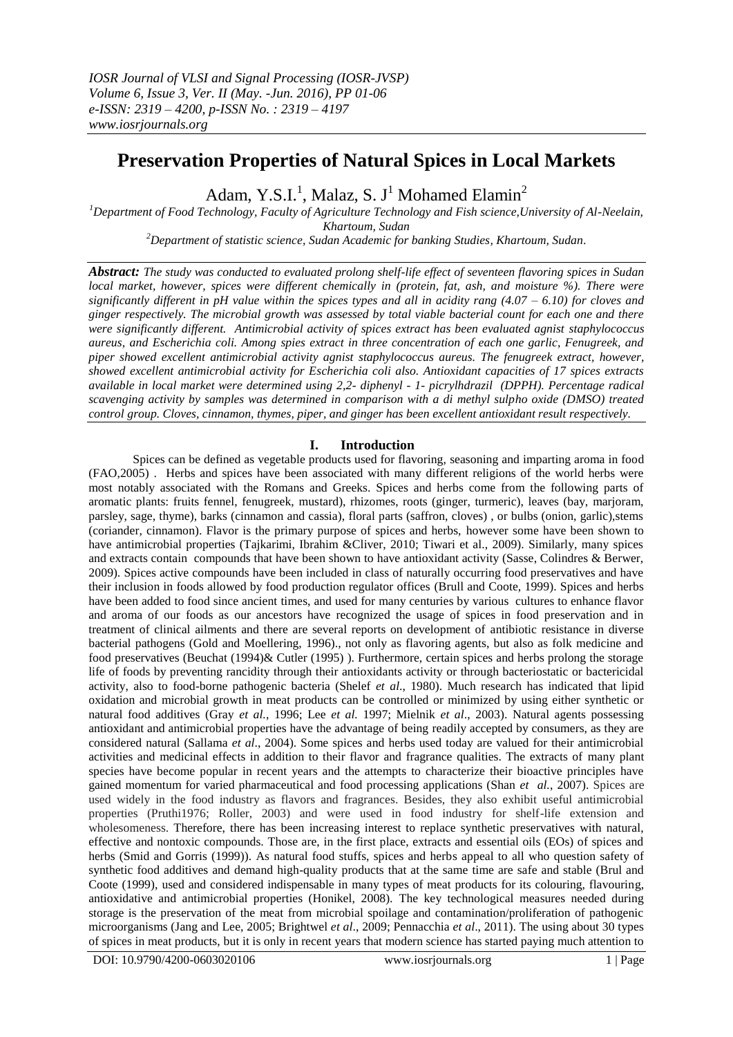# **Preservation Properties of Natural Spices in Local Markets**

Adam, Y.S.I.<sup>1</sup>, Malaz, S. J<sup>1</sup> Mohamed Elamin<sup>2</sup>

*<sup>1</sup>Department of Food Technology, Faculty of Agriculture Technology and Fish science,University of Al-Neelain, Khartoum, Sudan*

*<sup>2</sup>Department of statistic science, Sudan Academic for banking Studies, Khartoum, Sudan*.

*Abstract: The study was conducted to evaluated prolong shelf-life effect of seventeen flavoring spices in Sudan local market, however, spices were different chemically in (protein, fat, ash, and moisture %). There were significantly different in pH value within the spices types and all in acidity rang (4.07 – 6.10) for cloves and ginger respectively. The microbial growth was assessed by total viable bacterial count for each one and there were significantly different. Antimicrobial activity of spices extract has been evaluated agnist staphylococcus aureus, and Escherichia coli. Among spies extract in three concentration of each one garlic, Fenugreek, and piper showed excellent antimicrobial activity agnist staphylococcus aureus. The fenugreek extract, however, showed excellent antimicrobial activity for Escherichia coli also. Antioxidant capacities of 17 spices extracts available in local market were determined using 2,2- diphenyl - 1- picrylhdrazil (DPPH). Percentage radical scavenging activity by samples was determined in comparison with a di methyl sulpho oxide (DMSO) treated control group. Cloves, cinnamon, thymes, piper, and ginger has been excellent antioxidant result respectively.* 

## **I. Introduction**

Spices can be defined as vegetable products used for flavoring, seasoning and imparting aroma in food (FAO,2005) . Herbs and spices have been associated with many different religions of the world herbs were most notably associated with the Romans and Greeks. Spices and herbs come from the following parts of aromatic plants: fruits fennel, fenugreek, mustard), rhizomes, roots (ginger, turmeric), leaves (bay, marjoram, parsley, sage, thyme), barks (cinnamon and cassia), floral parts (saffron, cloves) , or bulbs (onion, garlic),stems (coriander, cinnamon). Flavor is the primary purpose of spices and herbs, however some have been shown to have antimicrobial properties (Tajkarimi, Ibrahim &Cliver, 2010; Tiwari et al., 2009). Similarly, many spices and extracts contain compounds that have been shown to have antioxidant activity (Sasse, Colindres & Berwer, 2009). Spices active compounds have been included in class of naturally occurring food preservatives and have their inclusion in foods allowed by food production regulator offices (Brull and Coote, 1999). Spices and herbs have been added to food since ancient times, and used for many centuries by various cultures to enhance flavor and aroma of our foods as our ancestors have recognized the usage of spices in food preservation and in treatment of clinical ailments and there are several reports on development of antibiotic resistance in diverse bacterial pathogens (Gold and Moellering, 1996)., not only as flavoring agents, but also as folk medicine and food preservatives (Beuchat (1994)& Cutler (1995) ). Furthermore, certain spices and herbs prolong the storage life of foods by preventing rancidity through their antioxidants activity or through bacteriostatic or bactericidal activity, also to food-borne pathogenic bacteria (Shelef *et al*., 1980). Much research has indicated that lipid oxidation and microbial growth in meat products can be controlled or minimized by using either synthetic or natural food additives (Gray *et al.*, 1996; Lee *et al.* 1997; Mielnik *et al*., 2003). Natural agents possessing antioxidant and antimicrobial properties have the advantage of being readily accepted by consumers, as they are considered natural (Sallama *et al*., 2004). Some spices and herbs used today are valued for their antimicrobial activities and medicinal effects in addition to their flavor and fragrance qualities. The extracts of many plant species have become popular in recent years and the attempts to characterize their bioactive principles have gained momentum for varied pharmaceutical and food processing applications (Shan *et al.*, 2007). Spices are used widely in the food industry as flavors and fragrances. Besides, they also exhibit useful antimicrobial properties (Pruthi1976; Roller, 2003) and were used in food industry for shelf-life extension and wholesomeness. Therefore, there has been increasing interest to replace synthetic preservatives with natural, effective and nontoxic compounds. Those are, in the first place, extracts and essential oils (EOs) of spices and herbs (Smid and Gorris (1999)). As natural food stuffs, spices and herbs appeal to all who question safety of synthetic food additives and demand high-quality products that at the same time are safe and stable (Brul and Coote (1999), used and considered indispensable in many types of meat products for its colouring, flavouring, antioxidative and antimicrobial properties (Honikel, 2008). The key technological measures needed during storage is the preservation of the meat from microbial spoilage and contamination/proliferation of pathogenic microorganisms (Jang and Lee, 2005; Brightwel *et al*., 2009; Pennacchia *et al*., 2011). The using about 30 types of spices in meat products, but it is only in recent years that modern science has started paying much attention to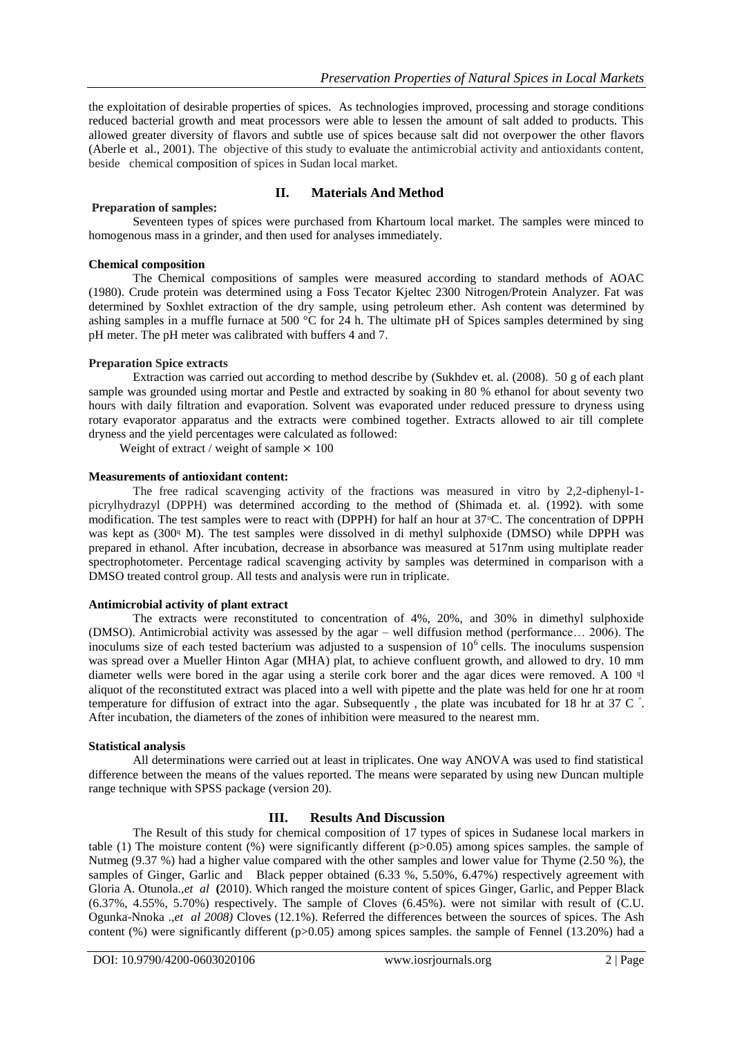the exploitation of desirable properties of spices. As technologies improved, processing and storage conditions reduced bacterial growth and meat processors were able to lessen the amount of salt added to products. This allowed greater diversity of flavors and subtle use of spices because salt did not overpower the other flavors (Aberle et al., 2001). The objective of this study to evaluate the antimicrobial activity and antioxidants content, beside chemical composition of spices in Sudan local market.

# **Preparation of samples:**

#### **II. Materials And Method**

Seventeen types of spices were purchased from Khartoum local market. The samples were minced to homogenous mass in a grinder, and then used for analyses immediately.

#### **Chemical composition**

The Chemical compositions of samples were measured according to standard methods of AOAC (1980). Crude protein was determined using a Foss Tecator Kjeltec 2300 Nitrogen/Protein Analyzer. Fat was determined by Soxhlet extraction of the dry sample, using petroleum ether. Ash content was determined by ashing samples in a muffle furnace at 500 °C for 24 h. The ultimate pH of Spices samples determined by sing pH meter. The pH meter was calibrated with buffers 4 and 7.

#### **Preparation Spice extracts**

Extraction was carried out according to method describe by (Sukhdev et. al. (2008). 50 g of each plant sample was grounded using mortar and Pestle and extracted by soaking in 80 % ethanol for about seventy two hours with daily filtration and evaporation. Solvent was evaporated under reduced pressure to dryness using rotary evaporator apparatus and the extracts were combined together. Extracts allowed to air till complete dryness and the yield percentages were calculated as followed:

Weight of extract / weight of sample  $\times$  100

#### **Measurements of antioxidant content:**

The free radical scavenging activity of the fractions was measured in vitro by 2,2-diphenyl-1 picrylhydrazyl (DPPH) was determined according to the method of (Shimada et. al. (1992). with some modification. The test samples were to react with (DPPH) for half an hour at 37 °C. The concentration of DPPH was kept as (300ᶣ M). The test samples were dissolved in di methyl sulphoxide (DMSO) while DPPH was prepared in ethanol. After incubation, decrease in absorbance was measured at 517nm using multiplate reader spectrophotometer. Percentage radical scavenging activity by samples was determined in comparison with a DMSO treated control group. All tests and analysis were run in triplicate.

#### **Antimicrobial activity of plant extract**

The extracts were reconstituted to concentration of 4%, 20%, and 30% in dimethyl sulphoxide (DMSO). Antimicrobial activity was assessed by the agar – well diffusion method (performance… 2006). The inoculums size of each tested bacterium was adjusted to a suspension of  $10<sup>6</sup>$  cells. The inoculums suspension was spread over a Mueller Hinton Agar (MHA) plat, to achieve confluent growth, and allowed to dry. 10 mm diameter wells were bored in the agar using a sterile cork borer and the agar dices were removed. A 100  $\Pi$ aliquot of the reconstituted extract was placed into a well with pipette and the plate was held for one hr at room temperature for diffusion of extract into the agar. Subsequently, the plate was incubated for 18 hr at 37 C $\degree$ . After incubation, the diameters of the zones of inhibition were measured to the nearest mm.

#### **Statistical analysis**

All determinations were carried out at least in triplicates. One way ANOVA was used to find statistical difference between the means of the values reported. The means were separated by using new Duncan multiple range technique with SPSS package (version 20).

### **III. Results And Discussion**

The Result of this study for chemical composition of 17 types of spices in Sudanese local markers in table (1) The moisture content  $\frac{6}{9}$  were significantly different (p $>0.05$ ) among spices samples. the sample of Nutmeg (9.37 %) had a higher value compared with the other samples and lower value for Thyme (2.50 %), the samples of Ginger, Garlic and Black pepper obtained (6.33 %, 5.50%, 6.47%) respectively agreement with Gloria A. Otunola.,*et al* **(**2010). Which ranged the moisture content of spices Ginger, Garlic, and Pepper Black (6.37%, 4.55%, 5.70%) respectively. The sample of Cloves (6.45%). were not similar with result of (C.U. Ogunka-Nnoka .,*et al 2008)* Cloves (12.1%). Referred the differences between the sources of spices. The Ash content (%) were significantly different ( $p>0.05$ ) among spices samples. the sample of Fennel (13.20%) had a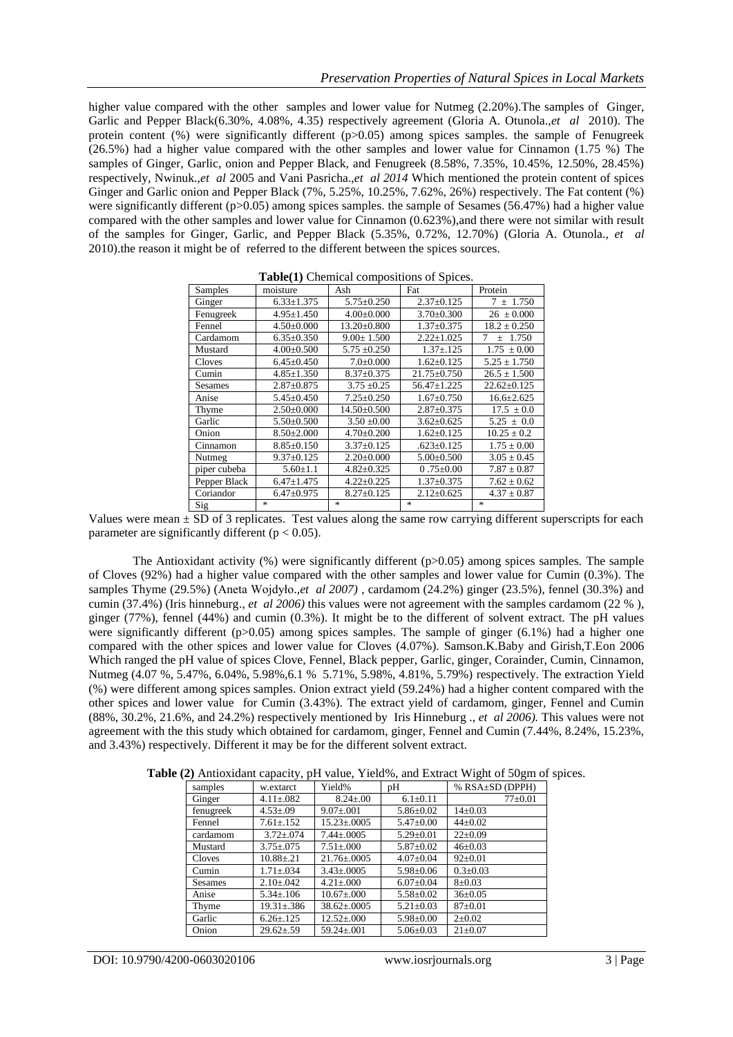higher value compared with the other samples and lower value for Nutmeg (2.20%). The samples of Ginger, Garlic and Pepper Black(6.30%, 4.08%, 4.35) respectively agreement (Gloria A. Otunola.,*et al*2010). The protein content (%) were significantly different ( $p>0.05$ ) among spices samples. the sample of Fenugreek (26.5%) had a higher value compared with the other samples and lower value for Cinnamon (1.75 %) The samples of Ginger, Garlic, onion and Pepper Black, and Fenugreek (8.58%, 7.35%, 10.45%, 12.50%, 28.45%) respectively, Nwinuk.,*et al* 2005 and Vani Pasricha.,*et al 2014* Which mentioned the protein content of spices Ginger and Garlic onion and Pepper Black (7%, 5.25%, 10.25%, 7.62%, 26%) respectively. The Fat content (%) were significantly different ( $p>0.05$ ) among spices samples. the sample of Sesames (56.47%) had a higher value compared with the other samples and lower value for Cinnamon (0.623%),and there were not similar with result of the samples for Ginger, Garlic, and Pepper Black (5.35%, 0.72%, 12.70%) (Gloria A. Otunola., *et al* 2010).the reason it might be of referred to the different between the spices sources.

| Samples        | moisture         | Ash                               | Fat               | Protein           |  |
|----------------|------------------|-----------------------------------|-------------------|-------------------|--|
| Ginger         | $6.33 \pm 1.375$ | $5.75 \pm 0.250$                  | $2.37 \pm 0.125$  | $7 \pm 1.750$     |  |
| Fenugreek      | $4.95 \pm 1.450$ | $4.00 \pm 0.000$                  | $3.70 + 0.300$    | $26 \pm 0.000$    |  |
| Fennel         | $4.50 \pm 0.000$ | $13.20 \pm 0.800$                 | $1.37 + 0.375$    | $18.2 \pm 0.250$  |  |
| Cardamom       | $6.35 \pm 0.350$ | $9.00 \pm 1.500$                  | $2.22 \pm 1.025$  | $±$ 1.750<br>7    |  |
| Mustard        | $4.00 \pm 0.500$ | $5.75 \pm 0.250$                  | $1.37 \pm .125$   | $1.75 \pm 0.00$   |  |
| Cloves         | $6.45 \pm 0.450$ | $7.0 \pm 0.000$                   | $1.62 \pm 0.125$  | $5.25 \pm 1.750$  |  |
| Cumin          | $4.85 \pm 1.350$ | $8.37 \pm 0.375$                  | $21.75 \pm 0.750$ | $26.5 \pm 1.500$  |  |
| <b>Sesames</b> | $2.87 \pm 0.875$ | $3.75 \pm 0.25$                   | $56.47 + 1.225$   | $22.62 \pm 0.125$ |  |
| Anise          | $5.45 \pm 0.450$ | $7.25+0.250$                      | $1.67 \pm 0.750$  | $16.6 \pm 2.625$  |  |
| Thyme          | $2.50\pm0.000$   | $14.50 \pm 0.500$                 | $2.87 \pm 0.375$  | $17.5 \pm 0.0$    |  |
| Garlic         | $5.50 \pm 0.500$ | $3.50 \pm 0.00$                   | $3.62 \pm 0.625$  | $5.25 \pm 0.0$    |  |
| Onion          | $8.50 \pm 2.000$ | $4.70 \pm 0.200$                  | $1.62 \pm 0.125$  | $10.25 \pm 0.2$   |  |
| Cinnamon       | $8.85 \pm 0.150$ | $3.37 \pm 0.125$                  | $.623 \pm 0.125$  | $1.75 \pm 0.00$   |  |
| Nutmeg         | $9.37 \pm 0.125$ | $2.20 \pm 0.000$                  | $5.00 \pm 0.500$  | $3.05 \pm 0.45$   |  |
| piper cubeba   | $5.60 \pm 1.1$   | $4.82 \pm 0.325$                  | $0.75 \pm 0.00$   | $7.87 \pm 0.87$   |  |
| Pepper Black   | $6.47 \pm 1.475$ | $4.22 \pm 0.225$                  | $1.37 \pm 0.375$  | $7.62 \pm 0.62$   |  |
| Coriandor      | $6.47 \pm 0.975$ | $8.27 \pm 0.125$                  | $2.12 \pm 0.625$  | $4.37 \pm 0.87$   |  |
| Sig            | $\ast$           | $\frac{d\mathbf{x}}{d\mathbf{x}}$ | 家                 | 家                 |  |

**Table(1)** Chemical compositions of Spices.

Values were mean  $\pm$  SD of 3 replicates. Test values along the same row carrying different superscripts for each parameter are significantly different ( $p < 0.05$ ).

The Antioxidant activity (%) were significantly different (p>0.05) among spices samples. The sample of Cloves (92%) had a higher value compared with the other samples and lower value for Cumin (0.3%). The samples Thyme (29.5%) (Aneta Wojdyło.,*et al 2007)* , cardamom (24.2%) ginger (23.5%), fennel (30.3%) and cumin (37.4%) (Iris hinneburg., *et al 2006)* this values were not agreement with the samples cardamom (22 % ), ginger (77%), fennel (44%) and cumin (0.3%). It might be to the different of solvent extract. The pH values were significantly different (p $>0.05$ ) among spices samples. The sample of ginger (6.1%) had a higher one compared with the other spices and lower value for Cloves (4.07%). Samson.K.Baby and Girish,T.Eon 2006 Which ranged the pH value of spices Clove, Fennel, Black pepper, Garlic, ginger, Corainder, Cumin, Cinnamon, Nutmeg (4.07 %, 5.47%, 6.04%, 5.98%,6.1 % 5.71%, 5.98%, 4.81%, 5.79%) respectively. The extraction Yield (%) were different among spices samples. Onion extract yield (59.24%) had a higher content compared with the other spices and lower value for Cumin (3.43%). The extract yield of cardamom, ginger, Fennel and Cumin (88%, 30.2%, 21.6%, and 24.2%) respectively mentioned by Iris Hinneburg ., *et al 2006).* This values were not agreement with the this study which obtained for cardamom, ginger, Fennel and Cumin (7.44%, 8.24%, 15.23%, and 3.43%) respectively. Different it may be for the different solvent extract.

| samples        | w.extarct        | Yield%             | pΗ              | % $RSA \pm SD$ (DPPH) |
|----------------|------------------|--------------------|-----------------|-----------------------|
| Ginger         | $4.11 \pm .082$  | $8.24 + 0.00$      | $6.1 \pm 0.11$  | $77+0.01$             |
| fenugreek      | $4.53 \pm .09$   | $9.07 + 0.01$      | $5.86 \pm 0.02$ | $14\pm0.03$           |
| Fennel         | $7.61 \pm .152$  | $15.23 \pm 0.0005$ | $5.47 \pm 0.00$ | $44{\pm}0.02$         |
| cardamom       | $3.72 \pm 0.074$ | $7.44 \pm 0.0005$  | $5.29 \pm 0.01$ | $22 \pm 0.09$         |
| Mustard        | $3.75 + 0.075$   | $7.51 + 0.000$     | $5.87 \pm 0.02$ | $46+0.03$             |
| Cloves         | $10.88 + 21$     | $21.76 \pm 0.0005$ | $4.07 \pm 0.04$ | $92+0.01$             |
| Cumin          | $1.71 \pm .034$  | $3.43 \pm 0.0005$  | $5.98 \pm 0.06$ | $0.3 \pm 0.03$        |
| <b>Sesames</b> | $2.10 + 0.042$   | $4.21 + 0.00$      | $6.07+0.04$     | $8+0.03$              |
| Anise          | $5.34 \pm 0.106$ | $10.67 \pm 0.000$  | $5.58 \pm 0.02$ | $36 \pm 0.05$         |
| Thyme          | $19.31 \pm .386$ | $38.62 + 0.005$    | $5.21 \pm 0.03$ | $87 \pm 0.01$         |
| Garlic         | $6.26 + 125$     | $12.52 + 000$      | $5.98 \pm 0.00$ | $2 + 0.02$            |
| Onion          | $29.62 \pm .59$  | $59.24 + 001$      | $5.06 \pm 0.03$ | $21 \pm 0.07$         |

**Table (2)** Antioxidant capacity, pH value, Yield%, and Extract Wight of 50gm of spices.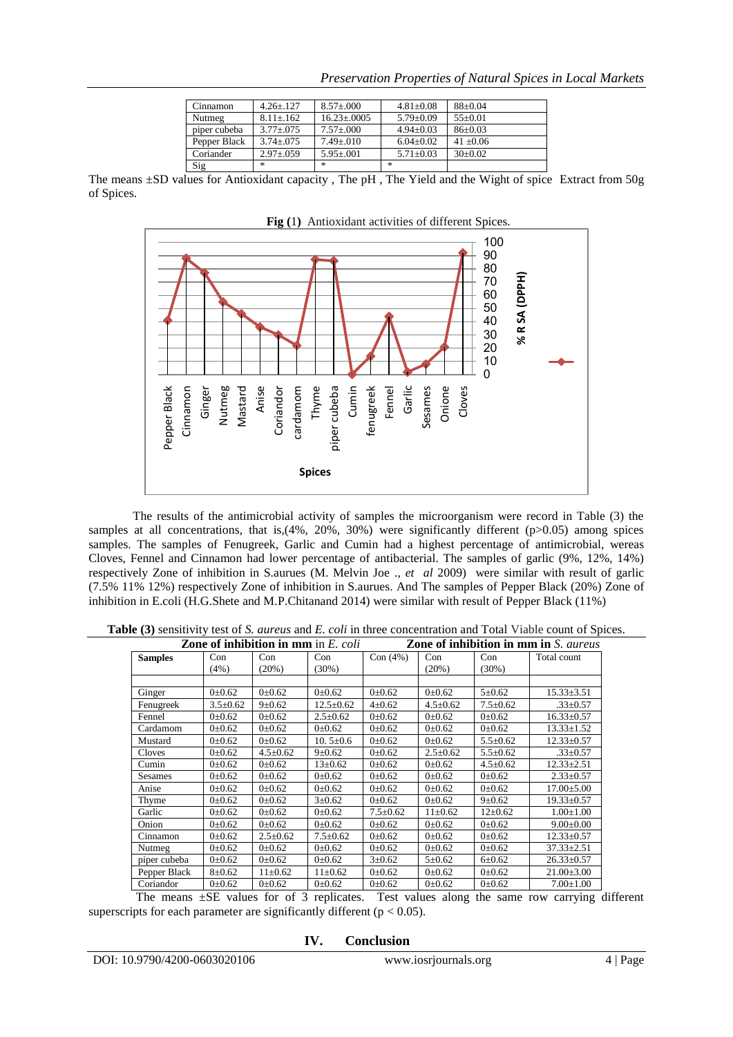| Cinnamon     | $4.26 + 127$   | $8.57 + 0.000$   | $4.81 + 0.08$ | $88+0.04$   |
|--------------|----------------|------------------|---------------|-------------|
| Nutmeg       | $8.11 + 162$   | $16.23 + 0.005$  | $5.79 + 0.09$ | $55+0.01$   |
| piper cubeba | $3.77 + 0.075$ | $7.57 \pm 0.000$ | $4.94+0.03$   | $86+0.03$   |
| Pepper Black | $3.74 + 0.075$ | $7.49 + 0.010$   | $6.04 + 0.02$ | $41 + 0.06$ |
| Coriander    | $2.97 + 0.059$ | $5.95 + 001$     | $5.71 + 0.03$ | $30+0.02$   |
| Sig          | $\ast$         | 冰                | 宋             |             |

The means ±SD values for Antioxidant capacity , The pH , The Yield and the Wight of spice Extract from 50g of Spices.

**Fig (**1**)** Antioxidant activities of different Spices.



The results of the antimicrobial activity of samples the microorganism were record in Table (3) the samples at all concentrations, that is,  $(4\%, 20\%, 30\%)$  were significantly different (p $>0.05$ ) among spices samples. The samples of Fenugreek, Garlic and Cumin had a highest percentage of antimicrobial, wereas Cloves, Fennel and Cinnamon had lower percentage of antibacterial. The samples of garlic (9%, 12%, 14%) respectively Zone of inhibition in S.aurues (M. Melvin Joe ., *et al* 2009) were similar with result of garlic (7.5% 11% 12%) respectively Zone of inhibition in S.aurues. And The samples of Pepper Black (20%) Zone of inhibition in E.coli (H.G.Shete and M.P.Chitanand 2014) were similar with result of Pepper Black (11%)

**Table (3)** sensitivity test of *S. aureus* and *E. coli* in three concentration and Total Viable count of Spices.

|                |                | <b>Zone of inhibition in mm</b> in $E$ , coli |                 |                |                     |                | <b>Zone of inhibition in mm in S. aureus</b> |
|----------------|----------------|-----------------------------------------------|-----------------|----------------|---------------------|----------------|----------------------------------------------|
| <b>Samples</b> | Con<br>(4%)    | Con<br>(20%)                                  | Con<br>$(30\%)$ | Con(4%)        | Con<br>(20%)        | Con<br>(30%)   | Total count                                  |
|                |                |                                               |                 |                |                     |                |                                              |
| Ginger         | $0 \pm 0.62$   | 0 <sub>±</sub> 0.62                           | $0 \pm 0.62$    | $0 \pm 0.62$   | 0 <sub>±</sub> 0.62 | $5 \pm 0.62$   | $15.33 \pm 3.51$                             |
| Fenugreek      | $3.5 \pm 0.62$ | $9 \pm 0.62$                                  | $12.5 \pm 0.62$ | $4\pm 0.62$    | $4.5 \pm 0.62$      | $7.5 \pm 0.62$ | $.33 \pm 0.57$                               |
| Fennel         | $0 \pm 0.62$   | $0 \pm 0.62$                                  | $2.5 \pm 0.62$  | $0 \pm 0.62$   | $0\pm 0.62$         | $0 \pm 0.62$   | $16.33 \pm 0.57$                             |
| Cardamom       | $0\pm 0.62$    | $0 \pm 0.62$                                  | $0 \pm 0.62$    | $0 \pm 0.62$   | $0\pm 0.62$         | $0 \pm 0.62$   | $13.33 \pm 1.52$                             |
| Mustard        | $0\pm 0.62$    | $0 \pm 0.62$                                  | 10.5 $\pm$ 0.6  | $0 \pm 0.62$   | $0\pm 0.62$         | $5.5 \pm 0.62$ | $12.33 \pm 0.57$                             |
| Cloves         | $0\pm 0.62$    | $4.5 \pm 0.62$                                | $9 \pm 0.62$    | $0 \pm 0.62$   | $2.5 \pm 0.62$      | $5.5 \pm 0.62$ | $.33 \pm 0.57$                               |
| Cumin          | $0\pm 0.62$    | 0 <sub>±</sub> 0.62                           | $13 \pm 0.62$   | $0 \pm 0.62$   | $0\pm 0.62$         | $4.5 \pm 0.62$ | $12.33 \pm 2.51$                             |
| <b>Sesames</b> | $0\pm 0.62$    | $0 \pm 0.62$                                  | $0 \pm 0.62$    | $0 \pm 0.62$   | $0 \pm 0.62$        | $0 \pm 0.62$   | $2.33 \pm 0.57$                              |
| Anise          | $0\pm 0.62$    | $0 \pm 0.62$                                  | $0 \pm 0.62$    | $0 \pm 0.62$   | $0 \pm 0.62$        | $0 \pm 0.62$   | $17.00 \pm 5.00$                             |
| Thyme          | $0\pm 0.62$    | $0 \pm 0.62$                                  | $3 \pm 0.62$    | $0 \pm 0.62$   | $0\pm 0.62$         | $9 \pm 0.62$   | $19.33 \pm 0.57$                             |
| Garlic         | $0\pm 0.62$    | $0 \pm 0.62$                                  | $0 \pm 0.62$    | $7.5 \pm 0.62$ | $11\pm0.62$         | $12 \pm 0.62$  | $1.00 \pm 1.00$                              |
| Onion          | $0\pm 0.62$    | $0 \pm 0.62$                                  | $0 \pm 0.62$    | $0 \pm 0.62$   | $0\pm 0.62$         | $0 \pm 0.62$   | $9.00 \pm 0.00$                              |
| Cinnamon       | $0 \pm 0.62$   | $2.5 \pm 0.62$                                | $7.5 \pm 0.62$  | $0 \pm 0.62$   | $0 \pm 0.62$        | $0 \pm 0.62$   | $12.33 \pm 0.57$                             |
| Nutmeg         | $0\pm 0.62$    | $0 \pm 0.62$                                  | $0 \pm 0.62$    | $0 \pm 0.62$   | $0\pm 0.62$         | $0 \pm 0.62$   | $37.33 \pm 2.51$                             |
| piper cubeba   | $0\pm 0.62$    | $0 \pm 0.62$                                  | $0 \pm 0.62$    | $3 \pm 0.62$   | $5 \pm 0.62$        | $6 \pm 0.62$   | $26.33 \pm 0.57$                             |
| Pepper Black   | $8 + 0.62$     | $11\pm0.62$                                   | $11\pm0.62$     | $0 \pm 0.62$   | $0\pm 0.62$         | $0 \pm 0.62$   | $21.00 \pm 3.00$                             |
| Coriandor      | $0 \pm 0.62$   | $0 \pm 0.62$                                  | $0 \pm 0.62$    | $0 \pm 0.62$   | $0 \pm 0.62$        | $0 \pm 0.62$   | $7.00 \pm 1.00$                              |

The means ±SE values for of 3 replicates. Test values along the same row carrying different superscripts for each parameter are significantly different ( $p < 0.05$ ).

**IV. Conclusion**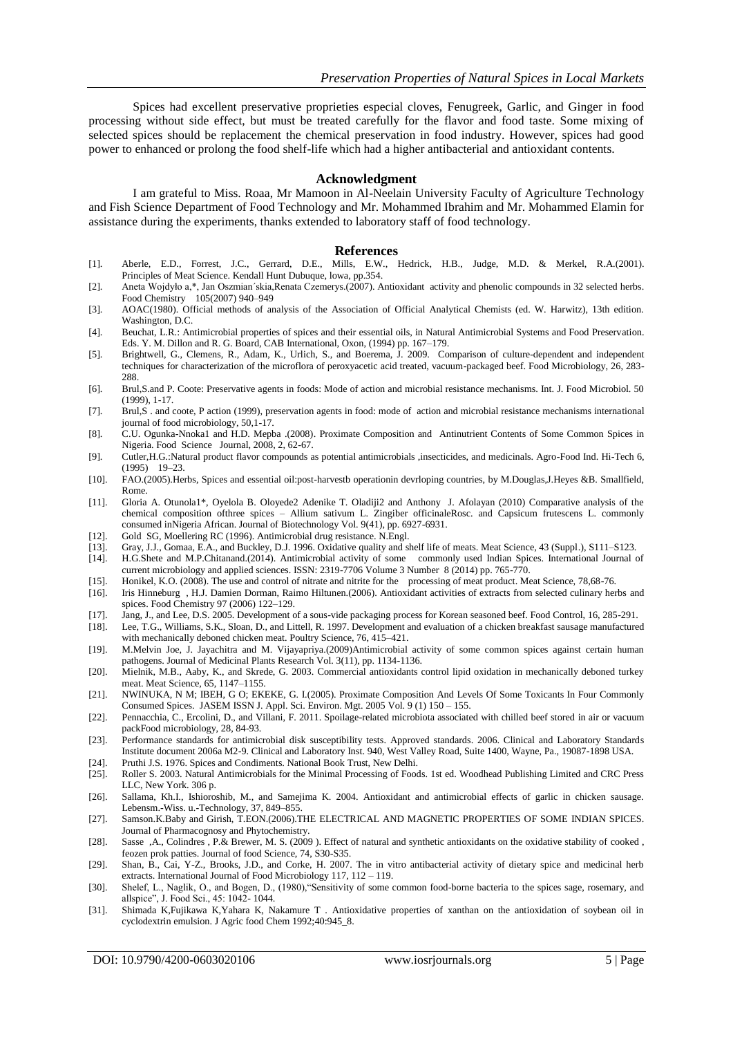Spices had excellent preservative proprieties especial cloves, Fenugreek, Garlic, and Ginger in food processing without side effect, but must be treated carefully for the flavor and food taste. Some mixing of selected spices should be replacement the chemical preservation in food industry. However, spices had good power to enhanced or prolong the food shelf-life which had a higher antibacterial and antioxidant contents.

#### **Acknowledgment**

I am grateful to Miss. Roaa, Mr Mamoon in Al-Neelain University Faculty of Agriculture Technology and Fish Science Department of Food Technology and Mr. Mohammed Ibrahim and Mr. Mohammed Elamin for assistance during the experiments, thanks extended to laboratory staff of food technology.

#### **References**

- [1]. Aberle, E.D., Forrest, J.C., Gerrard, D.E., Mills, E.W., Hedrick, H.B., Judge, M.D. & Merkel, R.A.(2001). Principles of Meat Science. Kendall Hunt Dubuque, lowa, pp.354.
- [2]. Aneta Wojdyło a,\*, Jan Oszmian´skia,Renata Czemerys.(2007). Antioxidant activity and phenolic compounds in 32 selected herbs. Food Chemistry 105(2007) 940–949
- [3]. AOAC(1980). Official methods of analysis of the Association of Official Analytical Chemists (ed. W. Harwitz), 13th edition. Washington, D.C.
- [4]. Beuchat, L.R.: Antimicrobial properties of spices and their essential oils, in Natural Antimicrobial Systems and Food Preservation. Eds. Y. M. Dillon and R. G. Board, CAB International, Oxon, (1994) pp. 167–179.
- [5]. Brightwell, G., Clemens, R., Adam, K., Urlich, S., and Boerema, J. 2009. Comparison of culture-dependent and independent techniques for characterization of the microflora of peroxyacetic acid treated, vacuum-packaged beef. Food Microbiology, 26, 283- 288.
- [6]. Brul,S.and P. Coote: Preservative agents in foods: Mode of action and microbial resistance mechanisms. Int. J. Food Microbiol. 50 (1999), 1-17.
- [7]. Brul,S . and coote, P action (1999), preservation agents in food: mode of action and microbial resistance mechanisms international journal of food microbiology, 50,1-17.
- [8]. C.U. Ogunka-Nnoka1 and H.D. Mepba .(2008). Proximate Composition and Antinutrient Contents of Some Common Spices in Nigeria. Food Science Journal, 2008, 2, 62-67.
- [9]. Cutler,H.G.:Natural product flavor compounds as potential antimicrobials ,insecticides, and medicinals. Agro-Food Ind. Hi-Tech 6, (1995) 19–23.
- [10]. FAO.(2005).Herbs, Spices and essential oil:post-harvestb operationin devrloping countries, by M.Douglas,J.Heyes &B. Smallfield, Rome.
- [11]. Gloria A. Otunola1\*, Oyelola B. Oloyede2 Adenike T. Oladiji2 and Anthony J. Afolayan (2010) Comparative analysis of the chemical composition ofthree spices – Allium sativum L. Zingiber officinaleRosc. and Capsicum frutescens L. commonly consumed inNigeria African. Journal of Biotechnology Vol. 9(41), pp. 6927-6931.
- [12]. Gold SG, Moellering RC (1996). Antimicrobial drug resistance. N. Engl. [13]. Gray, J.J., Gomaa, E.A., and Bucklev. D.J. 1996. Oxidative quality and sl
- [13]. Gray, J.J., Gomaa, E.A., and Buckley, D.J. 1996. Oxidative quality and shelf life of meats. Meat Science, 43 (Suppl.), S111–S123.
- [14]. H.G.Shete and M.P.Chitanand.(2014). Antimicrobial activity of some commonly used Indian Spices. International Journal of current microbiology and applied sciences. ISSN: 2319-7706 Volume 3 Number 8 (2014) pp. 765-770.
- [15]. Honikel, K.O. (2008). The use and control of nitrate and nitrite for the processing of meat product. Meat Science, 78,68-76.
- [16]. Iris Hinneburg , H.J. Damien Dorman, Raimo Hiltunen.(2006). Antioxidant activities of extracts from selected culinary herbs and spices. Food Chemistry 97 (2006) 122–129.
- 
- [17]. Jang, J., and Lee, D.S. 2005. Development of a sous-vide packaging process for Korean seasoned beef. Food Control, 16, 285-291. Lee, T.G., Williams, S.K., Sloan, D., and Littell, R. 1997. Development and evaluation of a chicken breakfast sausage manufactured with mechanically deboned chicken meat. Poultry Science, 76, 415–421.
- [19]. M.Melvin Joe, J. Jayachitra and M. Vijayapriya.(2009)Antimicrobial activity of some common spices against certain human pathogens. Journal of Medicinal Plants Research Vol. 3(11), pp. 1134-1136.
- [20]. Mielnik, M.B., Aaby, K., and Skrede, G. 2003. Commercial antioxidants control lipid oxidation in mechanically deboned turkey meat. Meat Science, 65, 1147–1155.
- [21]. NWINUKA, N M; IBEH, G O; EKEKE, G. I.(2005). Proximate Composition And Levels Of Some Toxicants In Four Commonly Consumed Spices. JASEM ISSN J. Appl. Sci. Environ. Mgt. 2005 Vol. 9 (1) 150 – 155.
- [22]. Pennacchia, C., Ercolini, D., and Villani, F. 2011. Spoilage-related microbiota associated with chilled beef stored in air or vacuum packFood microbiology, 28, 84-93.
- [23]. Performance standards for antimicrobial disk susceptibility tests. Approved standards. 2006. Clinical and Laboratory Standards Institute document 2006a M2-9. Clinical and Laboratory Inst. 940, West Valley Road, Suite 1400, Wayne, Pa., 19087-1898 USA.
- [24]. Pruthi J.S. 1976. Spices and Condiments. National Book Trust, New Delhi.
- [25]. Roller S. 2003. Natural Antimicrobials for the Minimal Processing of Foods. 1st ed. Woodhead Publishing Limited and CRC Press LLC, New York. 306 p.
- [26]. Sallama, Kh.I., Ishioroshib, M., and Samejima K. 2004. Antioxidant and antimicrobial effects of garlic in chicken sausage. Lebensm.-Wiss. u.-Technology, 37, 849–855.
- [27]. Samson.K.Baby and Girish, T.EON.(2006).THE ELECTRICAL AND MAGNETIC PROPERTIES OF SOME INDIAN SPICES. Journal of Pharmacognosy and Phytochemistry.
- [28]. Sasse ,A., Colindres , P.& Brewer, M. S. (2009 ). Effect of natural and synthetic antioxidants on the oxidative stability of cooked , feozen prok patties. Journal of food Science, 74, S30-S35.
- [29]. Shan, B., Cai, Y-Z., Brooks, J.D., and Corke, H. 2007. The in vitro antibacterial activity of dietary spice and medicinal herb extracts. International Journal of Food Microbiology 117, 112 – 119.
- [30]. Shelef, L., Naglik, O., and Bogen, D., (1980),"Sensitivity of some common food-borne bacteria to the spices sage, rosemary, and allspice", J. Food Sci., 45: 1042- 1044.
- [31]. Shimada K,Fujikawa K,Yahara K, Nakamure T . Antioxidative properties of xanthan on the antioxidation of soybean oil in cyclodextrin emulsion. J Agric food Chem 1992;40:945\_8.